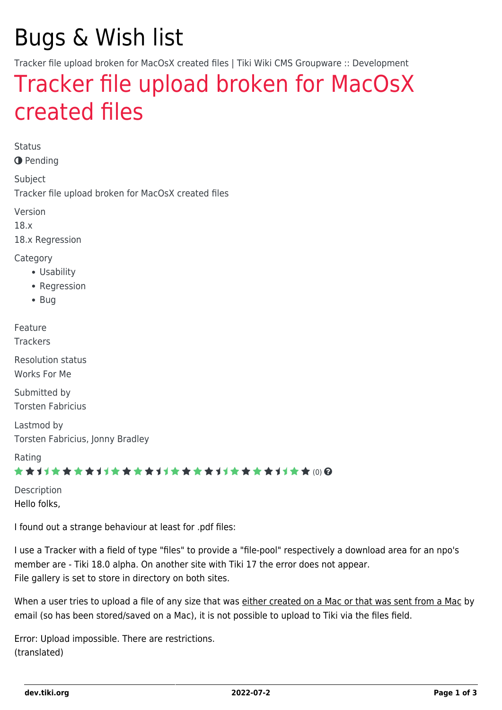## Bugs & Wish list

Tracker file upload broken for MacOsX created files | Tiki Wiki CMS Groupware :: Development

## [Tracker file upload broken for MacOsX](https://dev.tiki.org/item6610-Tracker-file-upload-broken-for-MacOsX-created-files) [created files](https://dev.tiki.org/item6610-Tracker-file-upload-broken-for-MacOsX-created-files)

Status

**O** Pending

Subject Tracker file upload broken for MacOsX created files

Version

18.x

18.x Regression

**Category** 

- Usability
- Regression
- Bug

Feature

**Trackers** 

Resolution status Works For Me

Submitted by Torsten Fabricius

Lastmod by Torsten Fabricius, Jonny Bradley

Rating

\*\*\*\*\*\*\*\*\*\*\*\*\*\*\*\*\*\*\*\*\*\*\*\*\*\*\*\*\*\*

Description Hello folks,

I found out a strange behaviour at least for .pdf files:

I use a Tracker with a field of type "files" to provide a "file-pool" respectively a download area for an npo's member are - Tiki 18.0 alpha. On another site with Tiki 17 the error does not appear. File gallery is set to store in directory on both sites.

When a user tries to upload a file of any size that was either created on a Mac or that was sent from a Mac by email (so has been stored/saved on a Mac), it is not possible to upload to Tiki via the files field.

Error: Upload impossible. There are restrictions. (translated)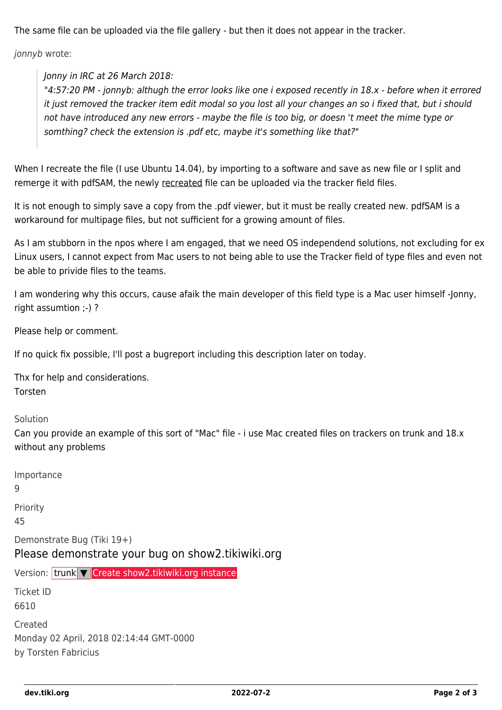The same file can be uploaded via the file gallery - but then it does not appear in the tracker.

jonnyb wrote:

Jonny in IRC at 26 March 2018:

"4:57:20 PM - jonnyb: althugh the error looks like one i exposed recently in 18.x - before when it errored it just removed the tracker item edit modal so you lost all your changes an so i fixed that, but i should not have introduced any new errors - maybe the file is too big, or doesn 't meet the mime type or somthing? check the extension is .pdf etc, maybe it's something like that?"

When I recreate the file (I use Ubuntu 14.04), by importing to a software and save as new file or I split and remerge it with pdfSAM, the newly recreated file can be uploaded via the tracker field files.

It is not enough to simply save a copy from the .pdf viewer, but it must be really created new. pdfSAM is a workaround for multipage files, but not sufficient for a growing amount of files.

As I am stubborn in the npos where I am engaged, that we need OS independend solutions, not excluding for ex Linux users, I cannot expect from Mac users to not being able to use the Tracker field of type files and even not be able to privide files to the teams.

I am wondering why this occurs, cause afaik the main developer of this field type is a Mac user himself -Jonny, right assumtion ;-) ?

Please help or comment.

If no quick fix possible, I'll post a bugreport including this description later on today.

Thx for help and considerations. Torsten

Solution

Can you provide an example of this sort of "Mac" file - i use Mac created files on trackers on trunk and 18.x without any problems

| Importance<br>9                                                                 |
|---------------------------------------------------------------------------------|
| Priority<br>45                                                                  |
| Demonstrate Bug (Tiki 19+)<br>Please demonstrate your bug on show2.tikiwiki.org |
| Version: trunk $\nabla$ Create show2.tikiwiki.org instance                      |
| Ticket ID<br>6610                                                               |
| Created<br>Monday 02 April, 2018 02:14:44 GMT-0000<br>by Torsten Fabricius      |
|                                                                                 |